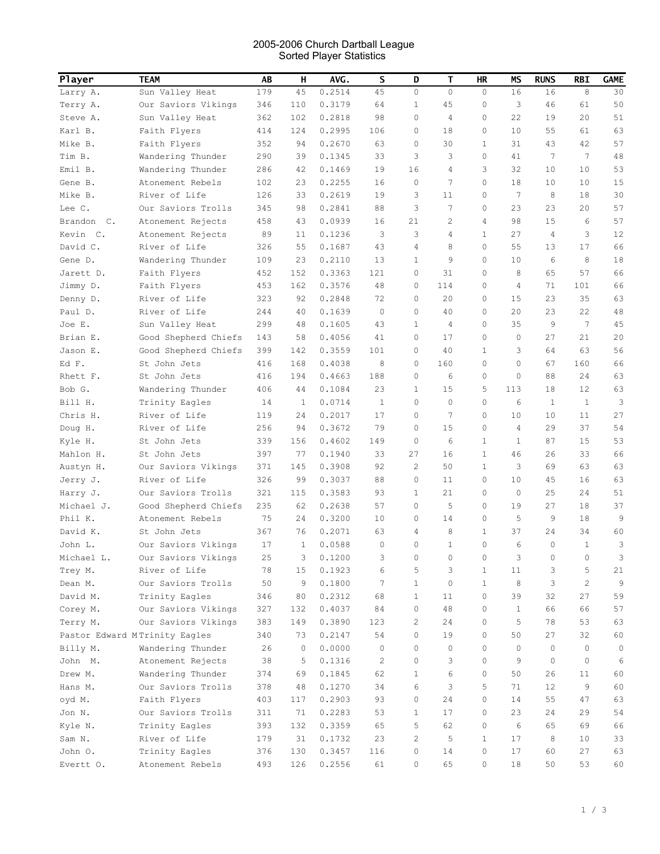## 2005-2006 Church Dartball League Sorted Player Statistics

| Player           | <b>TEAM</b>                   | AB  | н       | AVG.   | S               | D              | Т            | HR           | ΜS              | <b>RUNS</b> | RBI             | GAME         |
|------------------|-------------------------------|-----|---------|--------|-----------------|----------------|--------------|--------------|-----------------|-------------|-----------------|--------------|
| Larry A.         | Sun Valley Heat               | 179 | 45      | 0.2514 | 45              | 0              | $\mathbf 0$  | 0            | 16              | 16          | 8               | 30           |
| Terry A.         | Our Saviors Vikings           | 346 | 110     | 0.3179 | 64              | 1              | 45           | 0            | 3               | 46          | 61              | 50           |
| Steve A.         | Sun Valley Heat               | 362 | 102     | 0.2818 | 98              | 0              | 4            | 0            | 22              | 19          | 20              | 51           |
| Karl B.          | Faith Flyers                  | 414 | 124     | 0.2995 | 106             | 0              | 18           | 0            | 10              | 55          | 61              | 63           |
| Mike B.          | Faith Flyers                  | 352 | 94      | 0.2670 | 63              | 0              | 30           | 1            | 31              | 43          | 42              | 57           |
| Tim B.           | Wandering Thunder             | 290 | 39      | 0.1345 | 33              | 3              | 3            | 0            | 41              | 7           | $7\phantom{.0}$ | 48           |
| Emil B.          | Wandering Thunder             | 286 | 42      | 0.1469 | 19              | 16             | 4            | 3            | 32              | 10          | 10              | 53           |
| Gene B.          | Atonement Rebels              | 102 | 23      | 0.2255 | 16              | 0              | 7            | 0            | 18              | 10          | 10              | 15           |
| Mike B.          | River of Life                 | 126 | 33      | 0.2619 | 19              | 3              | 11           | 0            | $7\phantom{.0}$ | 8           | 18              | 30           |
| Lee C.           | Our Saviors Trolls            | 345 | 98      | 0.2841 | 88              | 3              | 7            | 0            | 23              | 23          | 20              | 57           |
| Brandon<br>$C$ . | Atonement Rejects             | 458 | 43      | 0.0939 | 16              | 21             | 2            | 4            | 98              | 15          | 6               | 57           |
| Kevin C.         | Atonement Rejects             | 89  | 11      | 0.1236 | 3               | 3              | 4            | $\mathbf{1}$ | 27              | 4           | 3               | 12           |
| David C.         | River of Life                 | 326 | 55      | 0.1687 | 43              | 4              | 8            | 0            | 55              | 13          | 17              | 66           |
| Gene D.          | Wandering Thunder             | 109 | 23      | 0.2110 | 13              | $\mathbf{1}$   | 9            | 0            | 10              | 6           | 8               | 18           |
| Jarett D.        | Faith Flyers                  | 452 | 152     | 0.3363 | 121             | 0              | 31           | 0            | 8               | 65          | 57              | 66           |
| Jimmy D.         | Faith Flyers                  | 453 | 162     | 0.3576 | 48              | 0              | 114          | 0            | 4               | 71          | 101             | 66           |
| Denny D.         | River of Life                 | 323 | 92      | 0.2848 | 72              | 0              | 20           | 0            | 15              | 23          | 35              | 63           |
| Paul D.          | River of Life                 | 244 | 40      | 0.1639 | 0               | 0              | 40           | 0            | 20              | 23          | 22              | 48           |
| Joe E.           | Sun Valley Heat               | 299 | 48      | 0.1605 | 43              | $\mathbf{1}$   | 4            | 0            | 35              | 9           | 7               | 45           |
| Brian E.         | Good Shepherd Chiefs          | 143 | 58      | 0.4056 | 41              | 0              | 17           | $\circ$      | 0               | 27          | 21              | 20           |
| Jason E.         | Good Shepherd Chiefs          | 399 | 142     | 0.3559 | 101             | 0              | 40           | 1            | 3               | 64          | 63              | 56           |
| Ed F.            | St John Jets                  | 416 | 168     | 0.4038 | 8               | 0              | 160          | 0            | $\circ$         | 67          | 160             | 66           |
| Rhett F.         | St John Jets                  | 416 | 194     | 0.4663 | 188             | 0              | 6            | 0            | 0               | 88          | 24              | 63           |
| Bob G.           | Wandering Thunder             | 406 | 44      | 0.1084 | 23              | $\mathbf{1}$   | 15           | 5            | 113             | 18          | 12              | 63           |
| Bill H.          | Trinity Eagles                | 14  | 1       | 0.0714 | 1               | 0              | $\mathbf{0}$ | 0            | 6               | 1           | 1               | 3            |
| Chris H.         | River of Life                 | 119 | 24      | 0.2017 | 17              | 0              | 7            | 0            | 10              | 10          | 11              | 27           |
| Doug H.          | River of Life                 | 256 | 94      | 0.3672 | 79              | 0              | 15           | 0            | 4               | 29          | 37              | 54           |
| Kyle H.          | St John Jets                  | 339 | 156     | 0.4602 | 149             | 0              | 6            | $\mathbf{1}$ | 1               | 87          | 15              | 53           |
| Mahlon H.        | St John Jets                  | 397 | 77      | 0.1940 | 33              | 27             | 16           | $\mathbf{1}$ | 46              | 26          | 33              | 66           |
| Austyn H.        | Our Saviors Vikings           | 371 | 145     | 0.3908 | 92              | 2              | 50           | 1            | 3               | 69          | 63              | 63           |
| Jerry J.         | River of Life                 | 326 | 99      | 0.3037 | 88              | 0              | 11           | 0            | 10              | 45          | 16              | 63           |
| Harry J.         | Our Saviors Trolls            | 321 | 115     | 0.3583 | 93              | 1              | 21           | 0            | 0               | 25          | 24              | 51           |
| Michael J.       | Good Shepherd Chiefs          | 235 | 62      | 0.2638 | 57              | 0              | 5            | $\circ$      | 19              | 27          | 18              | 37           |
| Phil K.          | Atonement Rebels              | 75  | 24      | 0.3200 | 10              | 0              | 14           | $\circ$      | 5               | 9           | 18              | 9            |
| David K.         | St John Jets                  | 367 | 76      | 0.2071 | 63              | 4              | 8            | $\mathbf{1}$ | 37              | 24          | 34              | 60           |
| John L.          | Our Saviors Vikings           | 17  | 1       | 0.0588 | 0               | 0              | 1            | 0            | 6               | 0           | 1               | 3            |
| Michael L.       | Our Saviors Vikings           | 25  | 3       | 0.1200 | 3               | 0              | 0            | 0            | 3               | 0           | 0               | 3            |
| Trey M.          | River of Life                 | 78  | 15      | 0.1923 | 6               | 5              | 3            | $\mathbf{1}$ | 11              | 3           | 5               | 21           |
| Dean M.          | Our Saviors Trolls            | 50  | 9       | 0.1800 | $7\phantom{.0}$ | $\mathbf{1}$   | $\circ$      | $\mathbf{1}$ | 8               | 3           | $\overline{c}$  | 9            |
| David M.         | Trinity Eagles                | 346 | 80      | 0.2312 | 68              | $\mathbf{1}$   | 11           | $\mathbf 0$  | 39              | 32          | 27              | 59           |
| Corey M.         | Our Saviors Vikings           | 327 | 132     | 0.4037 | 84              | 0              | 48           | $\mathbf{0}$ | $\mathbf{1}$    | 66          | 66              | 57           |
| Terry M.         | Our Saviors Vikings           | 383 | 149     | 0.3890 | 123             | 2              | 24           | 0            | 5               | 78          | 53              | 63           |
|                  | Pastor Edward MTrinity Eagles | 340 | 73      | 0.2147 | 54              | $\Omega$       | 19           | 0            | 50              | 27          | 32              | 60           |
| Billy M.         | Wandering Thunder             | 26  | $\circ$ | 0.0000 | $\circ$         | $\Omega$       | $\Omega$     | $\Omega$     | $\circ$         | $\circ$     | $\Omega$        | $\mathbf{0}$ |
| John M.          | Atonement Rejects             | 38  | 5       | 0.1316 | $\mathbf{2}$    | 0              | 3            | $\Omega$     | 9               | $\circ$     | $\circ$         | 6            |
| Drew M.          | Wandering Thunder             | 374 | 69      | 0.1845 | 62              | $\mathbf{1}$   | 6            | 0            | 50              | 26          | 11              | 60           |
| Hans M.          | Our Saviors Trolls            | 378 | 48      | 0.1270 | 34              | 6              | 3            | 5            | 71              | 12          | 9               | 60           |
| oyd M.           | Faith Flyers                  | 403 | 117     | 0.2903 | 93              | 0              | 24           | $\Omega$     | 14              | 55          | 47              | 63           |
| Jon N.           | Our Saviors Trolls            | 311 | 71      | 0.2283 | 53              | 1              | 17           | $\mathbf 0$  | 23              | 24          | 29              | 54           |
| Kyle N.          | Trinity Eagles                | 393 | 132     | 0.3359 | 65              | 5              | 62           | $\mathbf 0$  | 6               | 65          | 69              | 66           |
| Sam N.           | River of Life                 | 179 | 31      | 0.1732 | 23              | $\overline{c}$ | 5            | $\mathbf{1}$ | 17              | 8           | 10              | 33           |
| John O.          | Trinity Eagles                | 376 | 130     | 0.3457 | 116             | 0              | 14           | $\mathbf 0$  | 17              | 60          | 27              | 63           |
| Evertt O.        | Atonement Rebels              | 493 | 126     | 0.2556 | 61              | 0              | 65           | 0            | 18              | 50          | 53              | 60           |